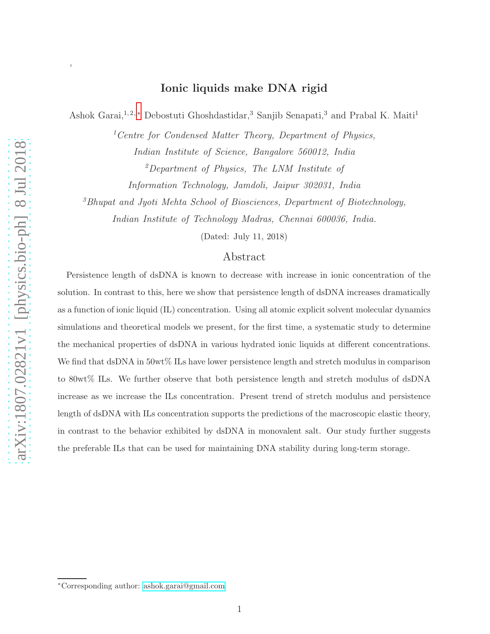# Ionic liquids make DNA rigid

Ashok Garai,<sup>1,2,\*</sup> Debostuti Ghoshdastidar,<sup>3</sup> Sanjib Senapati,<sup>3</sup> and Prabal K. Maiti<sup>1</sup>

 ${}^{1}$ Centre for Condensed Matter Theory, Department of Physics, Indian Institute of Science, Bangalore 560012, India <sup>2</sup>Department of Physics, The LNM Institute of

Information Technology, Jamdoli, Jaipur 302031, India

<sup>3</sup>Bhupat and Jyoti Mehta School of Biosciences, Department of Biotechnology,

Indian Institute of Technology Madras, Chennai 600036, India.

(Dated: July 11, 2018)

# Abstract

Persistence length of dsDNA is known to decrease with increase in ionic concentration of the solution. In contrast to this, here we show that persistence length of dsDNA increases dramatically as a function of ionic liquid (IL) concentration. Using all atomic explicit solvent molecular dynamics simulations and theoretical models we present, for the first time, a systematic study to determine the mechanical properties of dsDNA in various hydrated ionic liquids at different concentrations. We find that dsDNA in  $50wt\%$  ILs have lower persistence length and stretch modulus in comparison to 80wt% ILs. We further observe that both persistence length and stretch modulus of dsDNA increase as we increase the ILs concentration. Present trend of stretch modulus and persistence length of dsDNA with ILs concentration supports the predictions of the macroscopic elastic theory, in contrast to the behavior exhibited by dsDNA in monovalent salt. Our study further suggests the preferable ILs that can be used for maintaining DNA stability during long-term storage.

,

<span id="page-0-0"></span><sup>∗</sup>Corresponding author: [ashok.garai@gmail.com](mailto:ashok.garai@gmail.com)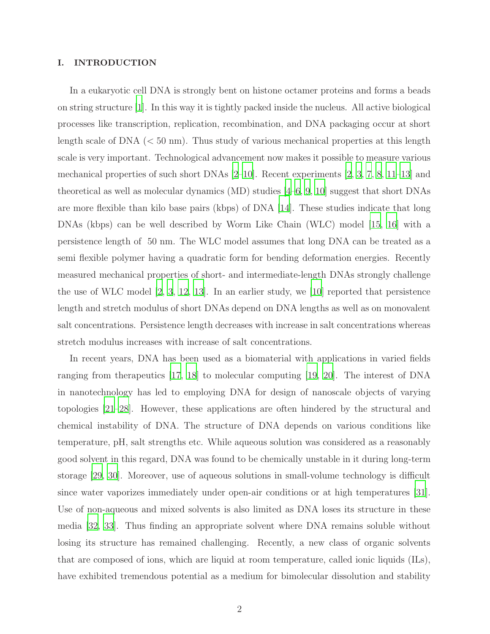# I. INTRODUCTION

In a eukaryotic cell DNA is strongly bent on histone octamer proteins and forms a beads on string structure  $|1|$ . In this way it is tightly packed inside the nucleus. All active biological processes like transcription, replication, recombination, and DNA packaging occur at short length scale of DNA  $\ll 50$  nm). Thus study of various mechanical properties at this length scale is very important. Technological advancement now makes it possible to measure various mechanical properties of such short DNAs [\[2](#page-12-1)[–10\]](#page-12-2). Recent experiments [\[2](#page-12-1), [3,](#page-12-3) [7](#page-12-4), [8,](#page-12-5) [11](#page-13-0)[–13\]](#page-13-1) and theoretical as well as molecular dynamics  $(MD)$  studies  $[4–6, 9, 10]$  $[4–6, 9, 10]$  $[4–6, 9, 10]$  $[4–6, 9, 10]$  $[4–6, 9, 10]$  suggest that short DNAs are more flexible than kilo base pairs (kbps) of DNA [\[14\]](#page-13-2). These studies indicate that long DNAs (kbps) can be well described by Worm Like Chain (WLC) model [\[15,](#page-13-3) [16\]](#page-13-4) with a persistence length of 50 nm. The WLC model assumes that long DNA can be treated as a semi flexible polymer having a quadratic form for bending deformation energies. Recently measured mechanical properties of short- and intermediate-length DNAs strongly challenge the use of WLC model  $[2, 3, 12, 13]$  $[2, 3, 12, 13]$  $[2, 3, 12, 13]$  $[2, 3, 12, 13]$  $[2, 3, 12, 13]$  $[2, 3, 12, 13]$ . In an earlier study, we  $[10]$  reported that persistence length and stretch modulus of short DNAs depend on DNA lengths as well as on monovalent salt concentrations. Persistence length decreases with increase in salt concentrations whereas stretch modulus increases with increase of salt concentrations.

In recent years, DNA has been used as a biomaterial with applications in varied fields ranging from therapeutics [\[17,](#page-13-6) [18\]](#page-13-7) to molecular computing [\[19](#page-13-8), [20\]](#page-13-9). The interest of DNA in nanotechnology has led to employing DNA for design of nanoscale objects of varying topologies [\[21](#page-13-10)[–28\]](#page-13-11). However, these applications are often hindered by the structural and chemical instability of DNA. The structure of DNA depends on various conditions like temperature, pH, salt strengths etc. While aqueous solution was considered as a reasonably good solvent in this regard, DNA was found to be chemically unstable in it during long-term storage [\[29,](#page-13-12) [30\]](#page-13-13). Moreover, use of aqueous solutions in small-volume technology is difficult since water vaporizes immediately under open-air conditions or at high temperatures [\[31\]](#page-13-14). Use of non-aqueous and mixed solvents is also limited as DNA loses its structure in these media [\[32](#page-13-15), [33](#page-13-16)]. Thus finding an appropriate solvent where DNA remains soluble without losing its structure has remained challenging. Recently, a new class of organic solvents that are composed of ions, which are liquid at room temperature, called ionic liquids (ILs), have exhibited tremendous potential as a medium for bimolecular dissolution and stability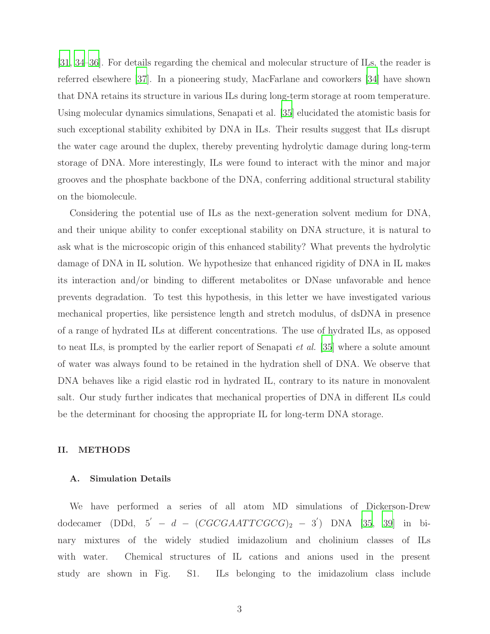[\[31,](#page-13-14) [34](#page-14-0)[–36](#page-14-1)]. For details regarding the chemical and molecular structure of ILs, the reader is referred elsewhere [\[37](#page-14-2)]. In a pioneering study, MacFarlane and coworkers [\[34](#page-14-0)] have shown that DNA retains its structure in various ILs during long-term storage at room temperature. Using molecular dynamics simulations, Senapati et al. [\[35\]](#page-17-0) elucidated the atomistic basis for such exceptional stability exhibited by DNA in ILs. Their results suggest that ILs disrupt the water cage around the duplex, thereby preventing hydrolytic damage during long-term storage of DNA. More interestingly, ILs were found to interact with the minor and major grooves and the phosphate backbone of the DNA, conferring additional structural stability on the biomolecule.

Considering the potential use of ILs as the next-generation solvent medium for DNA, and their unique ability to confer exceptional stability on DNA structure, it is natural to ask what is the microscopic origin of this enhanced stability? What prevents the hydrolytic damage of DNA in IL solution. We hypothesize that enhanced rigidity of DNA in IL makes its interaction and/or binding to different metabolites or DNase unfavorable and hence prevents degradation. To test this hypothesis, in this letter we have investigated various mechanical properties, like persistence length and stretch modulus, of dsDNA in presence of a range of hydrated ILs at different concentrations. The use of hydrated ILs, as opposed to neat ILs, is prompted by the earlier report of Senapati et al. [\[35](#page-17-0)] where a solute amount of water was always found to be retained in the hydration shell of DNA. We observe that DNA behaves like a rigid elastic rod in hydrated IL, contrary to its nature in monovalent salt. Our study further indicates that mechanical properties of DNA in different ILs could be the determinant for choosing the appropriate IL for long-term DNA storage.

# II. METHODS

### A. Simulation Details

We have performed a series of all atom MD simulations of Dickerson-Drew dodecamer (DDd,  $5' - d - (CGCGAATTCGCG)_2 - 3')$  DNA [\[35](#page-17-0), [39\]](#page-14-3) in binary mixtures of the widely studied imidazolium and cholinium classes of ILs with water. Chemical structures of IL cations and anions used in the present study are shown in Fig. S1. ILs belonging to the imidazolium class include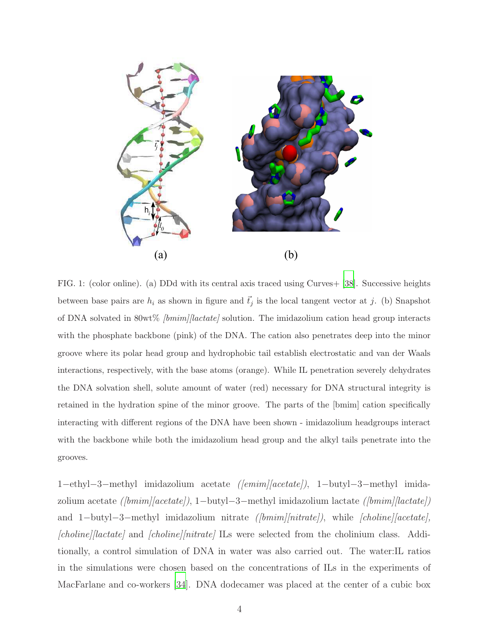

FIG. 1: (color online). (a) DDd with its central axis traced using Curves+ [\[38\]](#page-14-4). Successive heights between base pairs are  $h_i$  as shown in figure and  $\vec{t}_j$  is the local tangent vector at j. (b) Snapshot of DNA solvated in 80wt%  $\frac{1}{\text{bmin}}$  [lactate] solution. The imidazolium cation head group interacts with the phosphate backbone (pink) of the DNA. The cation also penetrates deep into the minor groove where its polar head group and hydrophobic tail establish electrostatic and van der Waals interactions, respectively, with the base atoms (orange). While IL penetration severely dehydrates the DNA solvation shell, solute amount of water (red) necessary for DNA structural integrity is retained in the hydration spine of the minor groove. The parts of the [bmim] cation specifically interacting with different regions of the DNA have been shown - imidazolium headgroups interact with the backbone while both the imidazolium head group and the alkyl tails penetrate into the grooves.

1−ethyl−3−methyl imidazolium acetate ([emim][acetate]), 1−butyl−3−methyl imidazolium acetate ([bmim][acetate]), 1−butyl−3−methyl imidazolium lactate ([bmim][lactate]) and 1−butyl−3−methyl imidazolium nitrate ([bmim][nitrate]), while [choline][acetate], [choline][lactate] and [choline][nitrate] ILs were selected from the cholinium class. Additionally, a control simulation of DNA in water was also carried out. The water:IL ratios in the simulations were chosen based on the concentrations of ILs in the experiments of MacFarlane and co-workers [\[34](#page-14-0)]. DNA dodecamer was placed at the center of a cubic box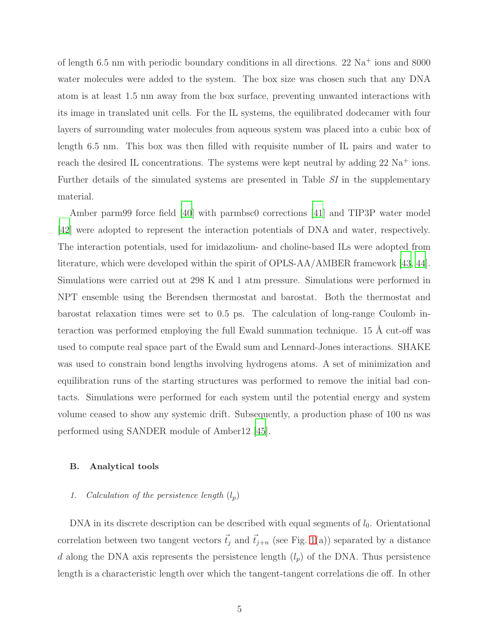of length 6.5 nm with periodic boundary conditions in all directions. 22  $\mathrm{Na}^+$  ions and 8000 water molecules were added to the system. The box size was chosen such that any DNA atom is at least 1.5 nm away from the box surface, preventing unwanted interactions with its image in translated unit cells. For the IL systems, the equilibrated dodecamer with four layers of surrounding water molecules from aqueous system was placed into a cubic box of length 6.5 nm. This box was then filled with requisite number of IL pairs and water to reach the desired IL concentrations. The systems were kept neutral by adding  $22 \text{ Na}^+$  ions. Further details of the simulated systems are presented in Table SI in the supplementary material.

Amber parm99 force field [\[40\]](#page-14-5) with parmbsc0 corrections [\[41\]](#page-14-6) and TIP3P water model [\[42](#page-14-7)] were adopted to represent the interaction potentials of DNA and water, respectively. The interaction potentials, used for imidazolium- and choline-based ILs were adopted from literature, which were developed within the spirit of OPLS-AA/AMBER framework [\[43,](#page-14-8) [44\]](#page-14-9). Simulations were carried out at 298 K and 1 atm pressure. Simulations were performed in NPT ensemble using the Berendsen thermostat and barostat. Both the thermostat and barostat relaxation times were set to 0.5 ps. The calculation of long-range Coulomb interaction was performed employing the full Ewald summation technique. 15  $\AA$  cut-off was used to compute real space part of the Ewald sum and Lennard-Jones interactions. SHAKE was used to constrain bond lengths involving hydrogens atoms. A set of minimization and equilibration runs of the starting structures was performed to remove the initial bad contacts. Simulations were performed for each system until the potential energy and system volume ceased to show any systemic drift. Subsequently, a production phase of 100 ns was performed using SANDER module of Amber12 [\[45](#page-14-10)].

# B. Analytical tools

## 1. Calculation of the persistence length  $(l_p)$

DNA in its discrete description can be described with equal segments of  $l_0$ . Orientational correlation between two tangent vectors  $\vec{t}_j$  and  $\vec{t}_{j+n}$  (see Fig. [1\(](#page-16-0)a)) separated by a distance d along the DNA axis represents the persistence length  $(l_p)$  of the DNA. Thus persistence length is a characteristic length over which the tangent-tangent correlations die off. In other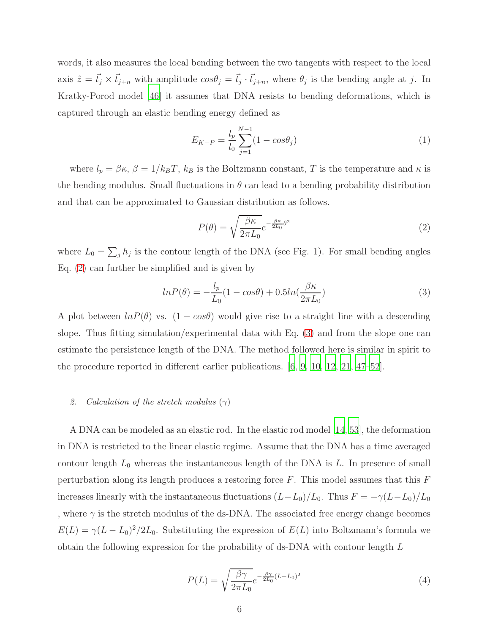words, it also measures the local bending between the two tangents with respect to the local axis  $\hat{z} = \vec{t}_j \times \vec{t}_{j+n}$  with amplitude  $cos\theta_j = \vec{t}_j \cdot \vec{t}_{j+n}$ , where  $\theta_j$  is the bending angle at j. In Kratky-Porod model [\[46\]](#page-14-11) it assumes that DNA resists to bending deformations, which is captured through an elastic bending energy defined as

$$
E_{K-P} = \frac{l_p}{l_0} \sum_{j=1}^{N-1} (1 - \cos \theta_j)
$$
 (1)

where  $l_p = \beta \kappa$ ,  $\beta = 1/k_B T$ ,  $k_B$  is the Boltzmann constant, T is the temperature and  $\kappa$  is the bending modulus. Small fluctuations in  $\theta$  can lead to a bending probability distribution and that can be approximated to Gaussian distribution as follows.

<span id="page-5-0"></span>
$$
P(\theta) = \sqrt{\frac{\beta \kappa}{2\pi L_0}} e^{-\frac{\beta \kappa}{2L_0} \theta^2}
$$
 (2)

where  $L_0 = \sum_j h_j$  is the contour length of the DNA (see Fig. 1). For small bending angles Eq. [\(2\)](#page-5-0) can further be simplified and is given by

<span id="page-5-1"></span>
$$
ln P(\theta) = -\frac{l_p}{L_0} (1 - \cos\theta) + 0.5ln(\frac{\beta \kappa}{2\pi L_0})
$$
\n(3)

A plot between  $lnP(\theta)$  vs.  $(1 - cos\theta)$  would give rise to a straight line with a descending slope. Thus fitting simulation/experimental data with Eq. [\(3\)](#page-5-1) and from the slope one can estimate the persistence length of the DNA. The method followed here is similar in spirit to the procedure reported in different earlier publications. [\[6,](#page-12-7) [9,](#page-12-8) [10,](#page-12-2) [12](#page-13-5), [21](#page-13-10), [47](#page-14-12)[–52\]](#page-14-13).

# 2. Calculation of the stretch modulus  $(\gamma)$

A DNA can be modeled as an elastic rod. In the elastic rod model [\[14,](#page-13-2) [53\]](#page-14-14), the deformation in DNA is restricted to the linear elastic regime. Assume that the DNA has a time averaged contour length  $L_0$  whereas the instantaneous length of the DNA is  $L$ . In presence of small perturbation along its length produces a restoring force  $F$ . This model assumes that this  $F$ increases linearly with the instantaneous fluctuations  $(L-L_0)/L_0$ . Thus  $F = -\gamma (L-L_0)/L_0$ , where  $\gamma$  is the stretch modulus of the ds-DNA. The associated free energy change becomes  $E(L) = \gamma (L - L_0)^2 / 2L_0$ . Substituting the expression of  $E(L)$  into Boltzmann's formula we obtain the following expression for the probability of ds-DNA with contour length L

<span id="page-5-2"></span>
$$
P(L) = \sqrt{\frac{\beta \gamma}{2\pi L_0}} e^{-\frac{\beta \gamma}{2L_0} (L - L_0)^2}
$$
\n
$$
\tag{4}
$$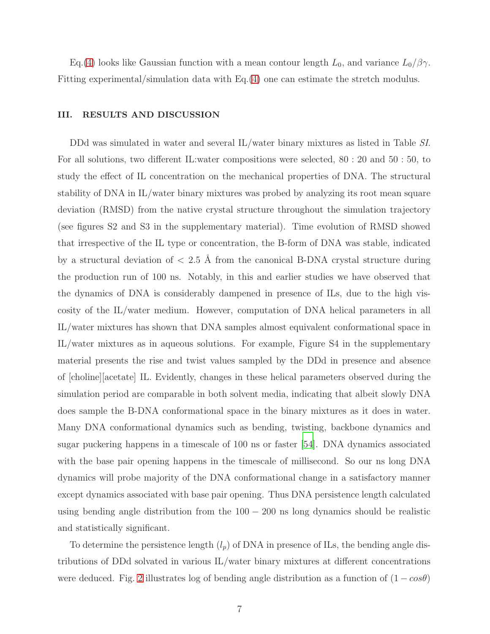Eq.[\(4\)](#page-5-2) looks like Gaussian function with a mean contour length  $L_0$ , and variance  $L_0/\beta\gamma$ . Fitting experimental/simulation data with Eq.[\(4\)](#page-5-2) one can estimate the stretch modulus.

## III. RESULTS AND DISCUSSION

DDd was simulated in water and several IL/water binary mixtures as listed in Table SI. For all solutions, two different IL:water compositions were selected, 80 : 20 and 50 : 50, to study the effect of IL concentration on the mechanical properties of DNA. The structural stability of DNA in IL/water binary mixtures was probed by analyzing its root mean square deviation (RMSD) from the native crystal structure throughout the simulation trajectory (see figures S2 and S3 in the supplementary material). Time evolution of RMSD showed that irrespective of the IL type or concentration, the B-form of DNA was stable, indicated by a structural deviation of  $\langle 2.5 \text{ Å}$  from the canonical B-DNA crystal structure during the production run of 100 ns. Notably, in this and earlier studies we have observed that the dynamics of DNA is considerably dampened in presence of ILs, due to the high viscosity of the IL/water medium. However, computation of DNA helical parameters in all IL/water mixtures has shown that DNA samples almost equivalent conformational space in IL/water mixtures as in aqueous solutions. For example, Figure S4 in the supplementary material presents the rise and twist values sampled by the DDd in presence and absence of [choline][acetate] IL. Evidently, changes in these helical parameters observed during the simulation period are comparable in both solvent media, indicating that albeit slowly DNA does sample the B-DNA conformational space in the binary mixtures as it does in water. Many DNA conformational dynamics such as bending, twisting, backbone dynamics and sugar puckering happens in a timescale of 100 ns or faster [\[54](#page-15-0)]. DNA dynamics associated with the base pair opening happens in the timescale of millisecond. So our ns long DNA dynamics will probe majority of the DNA conformational change in a satisfactory manner except dynamics associated with base pair opening. Thus DNA persistence length calculated using bending angle distribution from the  $100 - 200$  ns long dynamics should be realistic and statistically significant.

To determine the persistence length  $(l_p)$  of DNA in presence of ILs, the bending angle distributions of DDd solvated in various IL/water binary mixtures at different concentrations were deduced. Fig. [2](#page-18-0) illustrates log of bending angle distribution as a function of  $(1 - cos\theta)$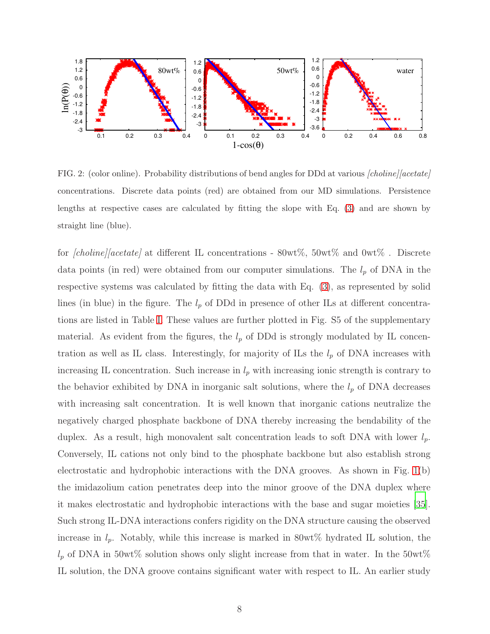

FIG. 2: (color online). Probability distributions of bend angles for DDd at various [choline][acetate] concentrations. Discrete data points (red) are obtained from our MD simulations. Persistence lengths at respective cases are calculated by fitting the slope with Eq. [\(3\)](#page-5-1) and are shown by straight line (blue).

for  $[choline]/acetate]$  at different IL concentrations - 80wt%, 50wt% and 0wt%. Discrete data points (in red) were obtained from our computer simulations. The  $l_p$  of DNA in the respective systems was calculated by fitting the data with Eq. [\(3\)](#page-5-1), as represented by solid lines (in blue) in the figure. The  $l_p$  of DDd in presence of other ILs at different concentrations are listed in Table [I.](#page-17-1) These values are further plotted in Fig. S5 of the supplementary material. As evident from the figures, the  $l_p$  of DDd is strongly modulated by IL concentration as well as IL class. Interestingly, for majority of ILs the  $l_p$  of DNA increases with increasing IL concentration. Such increase in  $l_p$  with increasing ionic strength is contrary to the behavior exhibited by DNA in inorganic salt solutions, where the  $l_p$  of DNA decreases with increasing salt concentration. It is well known that inorganic cations neutralize the negatively charged phosphate backbone of DNA thereby increasing the bendability of the duplex. As a result, high monovalent salt concentration leads to soft DNA with lower  $l_p$ . Conversely, IL cations not only bind to the phosphate backbone but also establish strong electrostatic and hydrophobic interactions with the DNA grooves. As shown in Fig. [1\(](#page-16-0)b) the imidazolium cation penetrates deep into the minor groove of the DNA duplex where it makes electrostatic and hydrophobic interactions with the base and sugar moieties [\[35\]](#page-17-0). Such strong IL-DNA interactions confers rigidity on the DNA structure causing the observed increase in  $l_p$ . Notably, while this increase is marked in 80wt% hydrated IL solution, the  $l_p$  of DNA in 50wt% solution shows only slight increase from that in water. In the 50wt% IL solution, the DNA groove contains significant water with respect to IL. An earlier study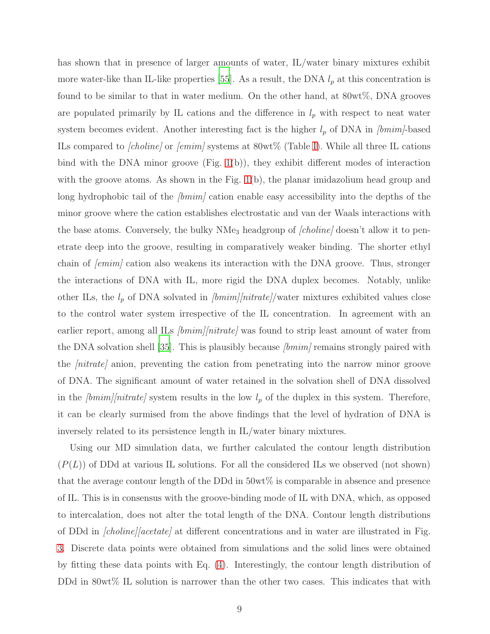has shown that in presence of larger amounts of water, IL/water binary mixtures exhibit more water-like than IL-like properties [\[55\]](#page-15-1). As a result, the DNA  $l_p$  at this concentration is found to be similar to that in water medium. On the other hand, at 80wt%, DNA grooves are populated primarily by IL cations and the difference in  $l_p$  with respect to neat water system becomes evident. Another interesting fact is the higher  $l_p$  of DNA in  $\text{lbmim}/\text{based}$ ILs compared to *[choline]* or *[emim]* systems at  $80wt\%$  (Table [I\)](#page-17-1). While all three IL cations bind with the DNA minor groove (Fig. [1\(](#page-16-0)b)), they exhibit different modes of interaction with the groove atoms. As shown in the Fig. [1\(](#page-16-0)b), the planar imidazolium head group and long hydrophobic tail of the  $\langle bmin \rangle$  cation enable easy accessibility into the depths of the minor groove where the cation establishes electrostatic and van der Waals interactions with the base atoms. Conversely, the bulky  $NMe<sub>3</sub>$  headgroup of *[choline]* doesn't allow it to penetrate deep into the groove, resulting in comparatively weaker binding. The shorter ethyl chain of  $\ell$ *emim* $\ell$  cation also weakens its interaction with the DNA groove. Thus, stronger the interactions of DNA with IL, more rigid the DNA duplex becomes. Notably, unlike other ILs, the  $l_p$  of DNA solvated in  $\text{[bmin]}/\text{nitrate}/\text{water}$  mixtures exhibited values close to the control water system irrespective of the IL concentration. In agreement with an earlier report, among all ILs  $\overline{\text{bmm}}/\text{nitrate}$  was found to strip least amount of water from the DNA solvation shell [\[35\]](#page-17-0). This is plausibly because  $\text{[bmin]}$  remains strongly paired with the *nitrate* anion, preventing the cation from penetrating into the narrow minor groove of DNA. The significant amount of water retained in the solvation shell of DNA dissolved in the  $\text{bmin}/\text{lnitrate}$  system results in the low  $l_p$  of the duplex in this system. Therefore, it can be clearly surmised from the above findings that the level of hydration of DNA is inversely related to its persistence length in IL/water binary mixtures.

Using our MD simulation data, we further calculated the contour length distribution  $(P(L))$  of DDd at various IL solutions. For all the considered ILs we observed (not shown) that the average contour length of the DDd in 50wt% is comparable in absence and presence of IL. This is in consensus with the groove-binding mode of IL with DNA, which, as opposed to intercalation, does not alter the total length of the DNA. Contour length distributions of DDd in *[choline][acetate]* at different concentrations and in water are illustrated in Fig. [3.](#page-19-0) Discrete data points were obtained from simulations and the solid lines were obtained by fitting these data points with Eq. [\(4\)](#page-5-2). Interestingly, the contour length distribution of DDd in 80wt% IL solution is narrower than the other two cases. This indicates that with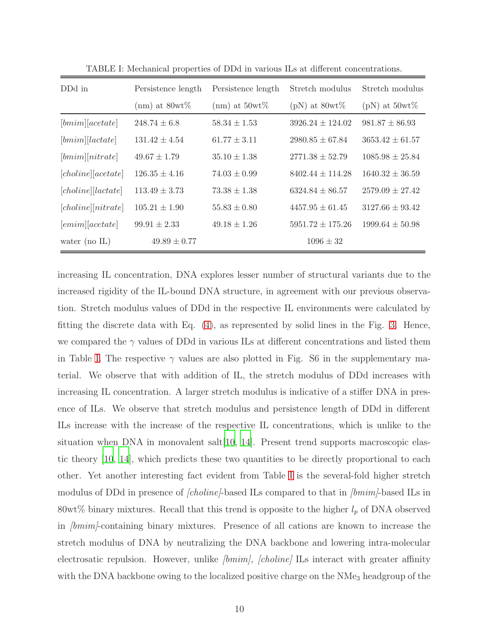| DD <sub>d</sub> in  | Persistence length | Persistence length | Stretch modulus      | Stretch modulus     |
|---------------------|--------------------|--------------------|----------------------|---------------------|
|                     | $(nm)$ at 80wt $%$ | $(nm)$ at 50wt\%   | (pN) at $80wt\%$     | (pN) at $50wt\%$    |
| [bmin][acetate]     | $248.74 \pm 6.8$   | $58.34 \pm 1.53$   | $3926.24 \pm 124.02$ | $981.87 \pm 86.93$  |
| [bmin][lactate]     | $131.42 \pm 4.54$  | $61.77 \pm 3.11$   | $2980.85 \pm 67.84$  | $3653.42 \pm 61.57$ |
| [bmin][nitrate]     | $49.67 \pm 1.79$   | $35.10 \pm 1.38$   | $2771.38 \pm 52.79$  | $1085.98 \pm 25.84$ |
| [choline][acetate]  | $126.35 \pm 4.16$  | $74.03 \pm 0.99$   | $8402.44 \pm 114.28$ | $1640.32 \pm 36.59$ |
| [choline][lactate]  | $113.49 \pm 3.73$  | $73.38 \pm 1.38$   | $6324.84 \pm 86.57$  | $2579.09 \pm 27.42$ |
| [choline] [nitrate] | $105.21 \pm 1.90$  | $55.83 \pm 0.80$   | $4457.95 \pm 61.45$  | $3127.66 \pm 93.42$ |
| [emim][acetate]     | $99.91 \pm 2.33$   | $49.18 \pm 1.26$   | $5951.72 \pm 175.26$ | $1999.64 \pm 50.98$ |
| water (no $IL$ )    | $49.89 \pm 0.77$   |                    | $1096 \pm 32$        |                     |

TABLE I: Mechanical properties of DDd in various ILs at different concentrations.

increasing IL concentration, DNA explores lesser number of structural variants due to the increased rigidity of the IL-bound DNA structure, in agreement with our previous observation. Stretch modulus values of DDd in the respective IL environments were calculated by fitting the discrete data with Eq. [\(4\)](#page-5-2), as represented by solid lines in the Fig. [3.](#page-19-0) Hence, we compared the  $\gamma$  values of DDd in various ILs at different concentrations and listed them in Table [I.](#page-17-1) The respective  $\gamma$  values are also plotted in Fig. S6 in the supplementary material. We observe that with addition of IL, the stretch modulus of DDd increases with increasing IL concentration. A larger stretch modulus is indicative of a stiffer DNA in presence of ILs. We observe that stretch modulus and persistence length of DDd in different ILs increase with the increase of the respective IL concentrations, which is unlike to the situation when DNA in monovalent salt  $[10, 14]$  $[10, 14]$ . Present trend supports macroscopic elastic theory [\[10,](#page-12-2) [14](#page-13-2)], which predicts these two quantities to be directly proportional to each other. Yet another interesting fact evident from Table [I](#page-17-1) is the several-fold higher stretch modulus of DDd in presence of *[choline]*-based ILs compared to that in *[bmim]*-based ILs in 80wt% binary mixtures. Recall that this trend is opposite to the higher  $l_p$  of DNA observed in *[bmim]*-containing binary mixtures. Presence of all cations are known to increase the stretch modulus of DNA by neutralizing the DNA backbone and lowering intra-molecular electrosatic repulsion. However, unlike  $\langle bmin \rangle$ ,  $\langle cholin \epsilon \rangle$  ILs interact with greater affinity with the DNA backbone owing to the localized positive charge on the NMe<sub>3</sub> headgroup of the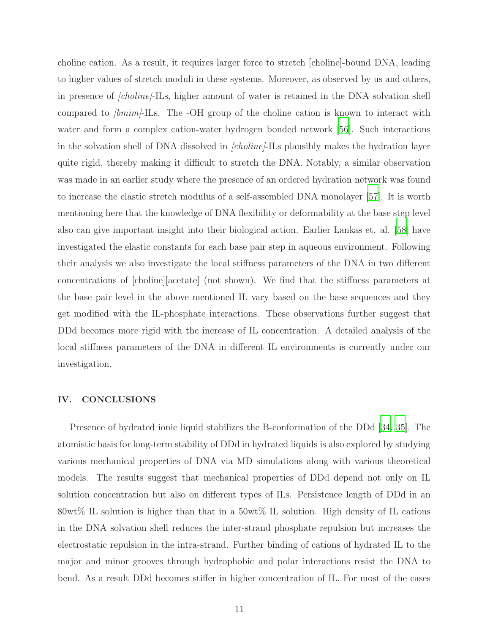choline cation. As a result, it requires larger force to stretch [choline]-bound DNA, leading to higher values of stretch moduli in these systems. Moreover, as observed by us and others, in presence of *choline*-ILs, higher amount of water is retained in the DNA solvation shell compared to  $\text{bmin}$ -ILs. The -OH group of the choline cation is known to interact with water and form a complex cation-water hydrogen bonded network [\[56\]](#page-15-2). Such interactions in the solvation shell of DNA dissolved in *[choline]*-ILs plausibly makes the hydration layer quite rigid, thereby making it difficult to stretch the DNA. Notably, a similar observation was made in an earlier study where the presence of an ordered hydration network was found to increase the elastic stretch modulus of a self-assembled DNA monolayer [\[57\]](#page-15-3). It is worth mentioning here that the knowledge of DNA flexibility or deformability at the base step level also can give important insight into their biological action. Earlier Lankas et. al. [\[58\]](#page-15-4) have investigated the elastic constants for each base pair step in aqueous environment. Following their analysis we also investigate the local stiffness parameters of the DNA in two different concentrations of [choline][acetate] (not shown). We find that the stiffness parameters at the base pair level in the above mentioned IL vary based on the base sequences and they get modified with the IL-phosphate interactions. These observations further suggest that DDd becomes more rigid with the increase of IL concentration. A detailed analysis of the local stiffness parameters of the DNA in different IL environments is currently under our investigation.

### IV. CONCLUSIONS

Presence of hydrated ionic liquid stabilizes the B-conformation of the DDd [\[34,](#page-14-0) [35\]](#page-17-0). The atomistic basis for long-term stability of DDd in hydrated liquids is also explored by studying various mechanical properties of DNA via MD simulations along with various theoretical models. The results suggest that mechanical properties of DDd depend not only on IL solution concentration but also on different types of ILs. Persistence length of DDd in an 80wt% IL solution is higher than that in a 50wt% IL solution. High density of IL cations in the DNA solvation shell reduces the inter-strand phosphate repulsion but increases the electrostatic repulsion in the intra-strand. Further binding of cations of hydrated IL to the major and minor grooves through hydrophobic and polar interactions resist the DNA to bend. As a result DDd becomes stiffer in higher concentration of IL. For most of the cases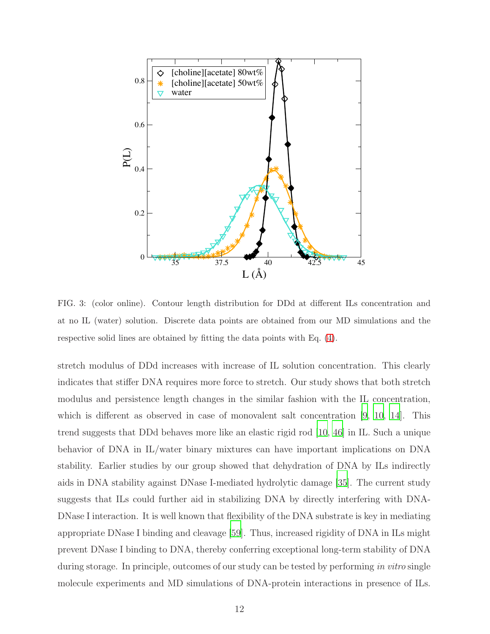

FIG. 3: (color online). Contour length distribution for DDd at different ILs concentration and at no IL (water) solution. Discrete data points are obtained from our MD simulations and the respective solid lines are obtained by fitting the data points with Eq. [\(4\)](#page-5-2).

stretch modulus of DDd increases with increase of IL solution concentration. This clearly indicates that stiffer DNA requires more force to stretch. Our study shows that both stretch modulus and persistence length changes in the similar fashion with the IL concentration, which is different as observed in case of monovalent salt concentration [\[9](#page-12-8), [10,](#page-12-2) [14\]](#page-13-2). This trend suggests that DDd behaves more like an elastic rigid rod [\[10](#page-12-2), [46\]](#page-14-11) in IL. Such a unique behavior of DNA in IL/water binary mixtures can have important implications on DNA stability. Earlier studies by our group showed that dehydration of DNA by ILs indirectly aids in DNA stability against DNase I-mediated hydrolytic damage [\[35\]](#page-17-0). The current study suggests that ILs could further aid in stabilizing DNA by directly interfering with DNA-DNase I interaction. It is well known that flexibility of the DNA substrate is key in mediating appropriate DNase I binding and cleavage [\[59\]](#page-15-5). Thus, increased rigidity of DNA in ILs might prevent DNase I binding to DNA, thereby conferring exceptional long-term stability of DNA during storage. In principle, outcomes of our study can be tested by performing in vitro single molecule experiments and MD simulations of DNA-protein interactions in presence of ILs.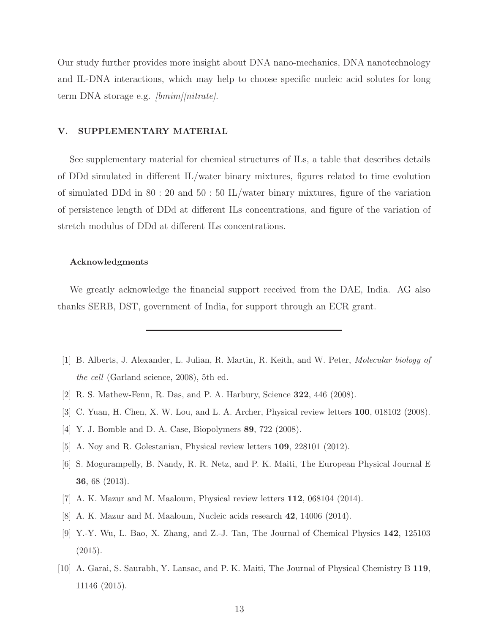Our study further provides more insight about DNA nano-mechanics, DNA nanotechnology and IL-DNA interactions, which may help to choose specific nucleic acid solutes for long term DNA storage e.g. *[bmim][nitrate]*.

# V. SUPPLEMENTARY MATERIAL

See supplementary material for chemical structures of ILs, a table that describes details of DDd simulated in different IL/water binary mixtures, figures related to time evolution of simulated DDd in 80 : 20 and 50 : 50 IL/water binary mixtures, figure of the variation of persistence length of DDd at different ILs concentrations, and figure of the variation of stretch modulus of DDd at different ILs concentrations.

### Acknowledgments

We greatly acknowledge the financial support received from the DAE, India. AG also thanks SERB, DST, government of India, for support through an ECR grant.

- <span id="page-12-0"></span>[1] B. Alberts, J. Alexander, L. Julian, R. Martin, R. Keith, and W. Peter, Molecular biology of the cell (Garland science, 2008), 5th ed.
- <span id="page-12-3"></span><span id="page-12-1"></span>[2] R. S. Mathew-Fenn, R. Das, and P. A. Harbury, Science 322, 446 (2008).
- [3] C. Yuan, H. Chen, X. W. Lou, and L. A. Archer, Physical review letters 100, 018102 (2008).
- <span id="page-12-6"></span>[4] Y. J. Bomble and D. A. Case, Biopolymers 89, 722 (2008).
- <span id="page-12-7"></span>[5] A. Noy and R. Golestanian, Physical review letters 109, 228101 (2012).
- [6] S. Mogurampelly, B. Nandy, R. R. Netz, and P. K. Maiti, The European Physical Journal E 36, 68 (2013).
- <span id="page-12-4"></span>[7] A. K. Mazur and M. Maaloum, Physical review letters 112, 068104 (2014).
- <span id="page-12-5"></span>[8] A. K. Mazur and M. Maaloum, Nucleic acids research 42, 14006 (2014).
- <span id="page-12-8"></span>[9] Y.-Y. Wu, L. Bao, X. Zhang, and Z.-J. Tan, The Journal of Chemical Physics 142, 125103 (2015).
- <span id="page-12-2"></span>[10] A. Garai, S. Saurabh, Y. Lansac, and P. K. Maiti, The Journal of Physical Chemistry B 119, 11146 (2015).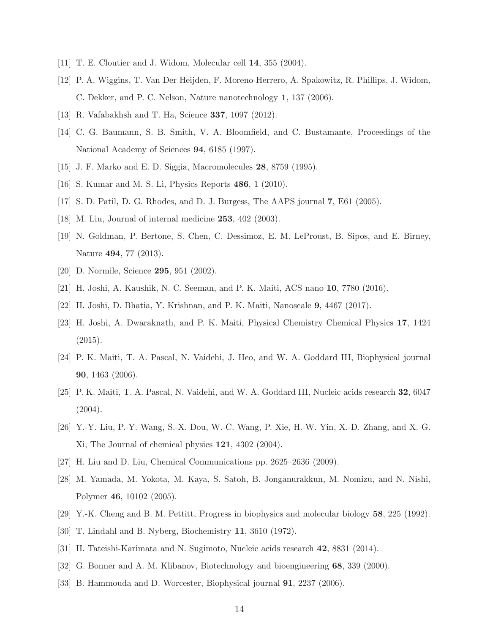- <span id="page-13-5"></span><span id="page-13-0"></span>[11] T. E. Cloutier and J. Widom, Molecular cell 14, 355 (2004).
- [12] P. A. Wiggins, T. Van Der Heijden, F. Moreno-Herrero, A. Spakowitz, R. Phillips, J. Widom, C. Dekker, and P. C. Nelson, Nature nanotechnology 1, 137 (2006).
- <span id="page-13-2"></span><span id="page-13-1"></span>[13] R. Vafabakhsh and T. Ha, Science 337, 1097 (2012).
- [14] C. G. Baumann, S. B. Smith, V. A. Bloomfield, and C. Bustamante, Proceedings of the National Academy of Sciences 94, 6185 (1997).
- <span id="page-13-4"></span><span id="page-13-3"></span>[15] J. F. Marko and E. D. Siggia, Macromolecules 28, 8759 (1995).
- <span id="page-13-6"></span>[16] S. Kumar and M. S. Li, Physics Reports 486, 1 (2010).
- <span id="page-13-7"></span>[17] S. D. Patil, D. G. Rhodes, and D. J. Burgess, The AAPS journal 7, E61 (2005).
- <span id="page-13-8"></span>[18] M. Liu, Journal of internal medicine 253, 402 (2003).
- [19] N. Goldman, P. Bertone, S. Chen, C. Dessimoz, E. M. LeProust, B. Sipos, and E. Birney, Nature 494, 77 (2013).
- <span id="page-13-10"></span><span id="page-13-9"></span>[20] D. Normile, Science 295, 951 (2002).
- [21] H. Joshi, A. Kaushik, N. C. Seeman, and P. K. Maiti, ACS nano 10, 7780 (2016).
- [22] H. Joshi, D. Bhatia, Y. Krishnan, and P. K. Maiti, Nanoscale 9, 4467 (2017).
- [23] H. Joshi, A. Dwaraknath, and P. K. Maiti, Physical Chemistry Chemical Physics 17, 1424 (2015).
- [24] P. K. Maiti, T. A. Pascal, N. Vaidehi, J. Heo, and W. A. Goddard III, Biophysical journal 90, 1463 (2006).
- [25] P. K. Maiti, T. A. Pascal, N. Vaidehi, and W. A. Goddard III, Nucleic acids research 32, 6047  $(2004).$
- [26] Y.-Y. Liu, P.-Y. Wang, S.-X. Dou, W.-C. Wang, P. Xie, H.-W. Yin, X.-D. Zhang, and X. G. Xi, The Journal of chemical physics 121, 4302 (2004).
- [27] H. Liu and D. Liu, Chemical Communications pp. 2625–2636 (2009).
- <span id="page-13-11"></span>[28] M. Yamada, M. Yokota, M. Kaya, S. Satoh, B. Jonganurakkun, M. Nomizu, and N. Nishi, Polymer 46, 10102 (2005).
- <span id="page-13-12"></span>[29] Y.-K. Cheng and B. M. Pettitt, Progress in biophysics and molecular biology 58, 225 (1992).
- <span id="page-13-13"></span>[30] T. Lindahl and B. Nyberg, Biochemistry 11, 3610 (1972).
- <span id="page-13-14"></span>[31] H. Tateishi-Karimata and N. Sugimoto, Nucleic acids research 42, 8831 (2014).
- <span id="page-13-15"></span>[32] G. Bonner and A. M. Klibanov, Biotechnology and bioengineering 68, 339 (2000).
- <span id="page-13-16"></span>[33] B. Hammouda and D. Worcester, Biophysical journal 91, 2237 (2006).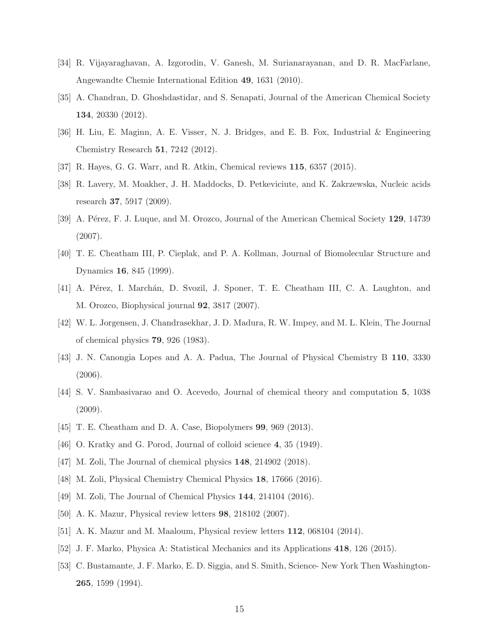- <span id="page-14-0"></span>[34] R. Vijayaraghavan, A. Izgorodin, V. Ganesh, M. Surianarayanan, and D. R. MacFarlane, Angewandte Chemie International Edition 49, 1631 (2010).
- [35] A. Chandran, D. Ghoshdastidar, and S. Senapati, Journal of the American Chemical Society 134, 20330 (2012).
- <span id="page-14-1"></span>[36] H. Liu, E. Maginn, A. E. Visser, N. J. Bridges, and E. B. Fox, Industrial & Engineering Chemistry Research 51, 7242 (2012).
- <span id="page-14-4"></span><span id="page-14-2"></span>[37] R. Hayes, G. G. Warr, and R. Atkin, Chemical reviews 115, 6357 (2015).
- [38] R. Lavery, M. Moakher, J. H. Maddocks, D. Petkeviciute, and K. Zakrzewska, Nucleic acids research 37, 5917 (2009).
- <span id="page-14-3"></span>[39] A. Pérez, F. J. Luque, and M. Orozco, Journal of the American Chemical Society 129, 14739 (2007).
- <span id="page-14-5"></span>[40] T. E. Cheatham III, P. Cieplak, and P. A. Kollman, Journal of Biomolecular Structure and Dynamics 16, 845 (1999).
- <span id="page-14-6"></span>[41] A. Pérez, I. Marchán, D. Svozil, J. Sponer, T. E. Cheatham III, C. A. Laughton, and M. Orozco, Biophysical journal 92, 3817 (2007).
- <span id="page-14-7"></span>[42] W. L. Jorgensen, J. Chandrasekhar, J. D. Madura, R. W. Impey, and M. L. Klein, The Journal of chemical physics 79, 926 (1983).
- <span id="page-14-8"></span>[43] J. N. Canongia Lopes and A. A. Padua, The Journal of Physical Chemistry B 110, 3330 (2006).
- <span id="page-14-9"></span>[44] S. V. Sambasivarao and O. Acevedo, Journal of chemical theory and computation 5, 1038 (2009).
- <span id="page-14-10"></span>[45] T. E. Cheatham and D. A. Case, Biopolymers 99, 969 (2013).
- <span id="page-14-11"></span>[46] O. Kratky and G. Porod, Journal of colloid science 4, 35 (1949).
- <span id="page-14-12"></span>[47] M. Zoli, The Journal of chemical physics **148**, 214902 (2018).
- [48] M. Zoli, Physical Chemistry Chemical Physics 18, 17666 (2016).
- [49] M. Zoli, The Journal of Chemical Physics 144, 214104 (2016).
- [50] A. K. Mazur, Physical review letters 98, 218102 (2007).
- [51] A. K. Mazur and M. Maaloum, Physical review letters 112, 068104 (2014).
- <span id="page-14-13"></span>[52] J. F. Marko, Physica A: Statistical Mechanics and its Applications 418, 126 (2015).
- <span id="page-14-14"></span>[53] C. Bustamante, J. F. Marko, E. D. Siggia, and S. Smith, Science- New York Then Washington-265, 1599 (1994).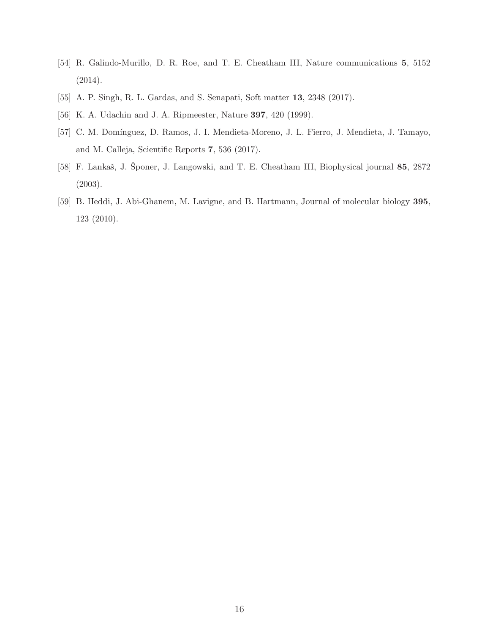- <span id="page-15-0"></span>[54] R. Galindo-Murillo, D. R. Roe, and T. E. Cheatham III, Nature communications 5, 5152 (2014).
- <span id="page-15-2"></span><span id="page-15-1"></span>[55] A. P. Singh, R. L. Gardas, and S. Senapati, Soft matter 13, 2348 (2017).
- <span id="page-15-3"></span>[56] K. A. Udachin and J. A. Ripmeester, Nature 397, 420 (1999).
- [57] C. M. Domínguez, D. Ramos, J. I. Mendieta-Moreno, J. L. Fierro, J. Mendieta, J. Tamayo, and M. Calleja, Scientific Reports 7, 536 (2017).
- <span id="page-15-4"></span>[58] F. Lankaš, J. Šponer, J. Langowski, and T. E. Cheatham III, Biophysical journal 85, 2872 (2003).
- <span id="page-15-5"></span>[59] B. Heddi, J. Abi-Ghanem, M. Lavigne, and B. Hartmann, Journal of molecular biology 395, 123 (2010).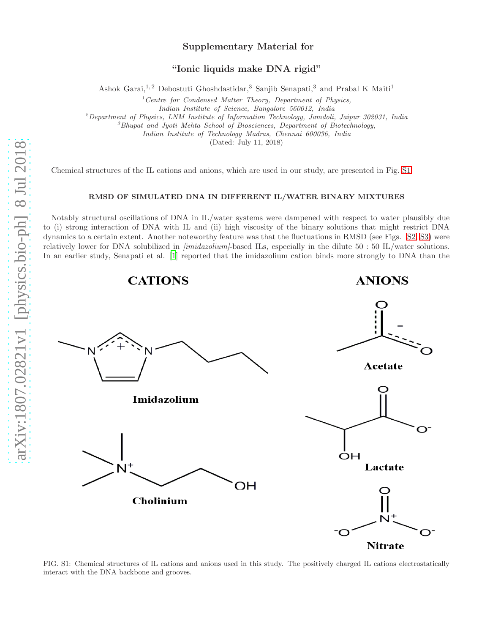### Supplementary Material for

"Ionic liquids make DNA rigid"

Ashok Garai,<sup>1,2</sup> Debostuti Ghoshdastidar,<sup>3</sup> Sanjib Senapati,<sup>3</sup> and Prabal K Maiti<sup>1</sup>

 $1$ <sup>1</sup> Centre for Condensed Matter Theory, Department of Physics,

Indian Institute of Science, Bangalore 560012, India

 $^{2}$ Department of Physics, LNM Institute of Information Technology, Jamdoli, Jaipur 302031, India

 ${}^{3}$ Bhupat and Jyoti Mehta School of Biosciences, Department of Biotechnology,

Indian Institute of Technology Madras, Chennai 600036, India

(Dated: July 11, 2018)

Chemical structures of the IL cations and anions, which are used in our study, are presented in Fig. [S1.](#page-16-0)

#### RMSD OF SIMULATED DNA IN DIFFERENT IL/WATER BINARY MIXTURES

Notably structural oscillations of DNA in IL/water systems were dampened with respect to water plausibly due to (i) strong interaction of DNA with IL and (ii) high viscosity of the binary solutions that might restrict DNA dynamics to a certain extent. Another noteworthy feature was that the fluctuations in RMSD (see Figs. [S2,](#page-18-0) [S3\)](#page-19-0) were relatively lower for DNA solubilized in *[imidazolium]*-based ILs, especially in the dilute 50 : 50 IL/water solutions. In an earlier study, Senapati et al. [\[1\]](#page-17-0) reported that the imidazolium cation binds more strongly to DNA than the



<span id="page-16-0"></span>FIG. S1: Chemical structures of IL cations and anions used in this study. The positively charged IL cations electrostatically interact with the DNA backbone and grooves.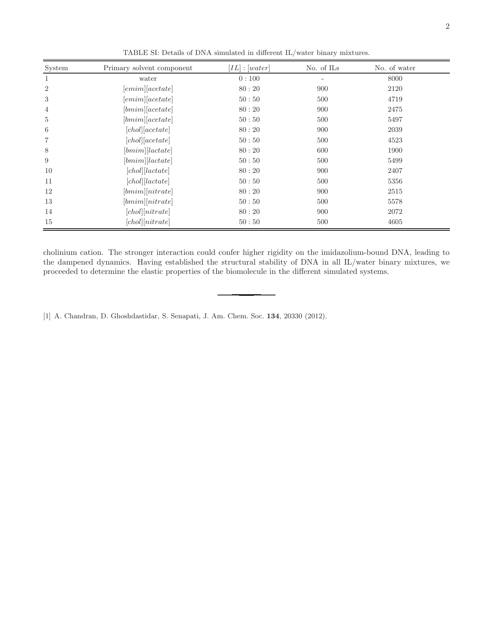| System         | Primary solvent component | $[IL]$ : $[water]$ | No. of ILs | No. of water |
|----------------|---------------------------|--------------------|------------|--------------|
| 1              | water                     | 0:100              | ۳          | 8000         |
| $\overline{2}$ | [emim][acetate]           | 80:20              | 900        | 2120         |
| 3              | [emim][acetate]           | 50:50              | 500        | 4719         |
| $\overline{4}$ | [bmim][acetate]           | 80:20              | 900        | 2475         |
| $\overline{5}$ | [bmim][acetate]           | 50:50              | 500        | 5497         |
| 6              | [chol][acetate]           | 80:20              | 900        | 2039         |
| 7              | [chol][acetate]           | 50:50              | 500        | 4523         |
| 8              | [bmim][lactate]           | 80:20              | 600        | 1900         |
| 9              | [bmin][lactate]           | 50:50              | 500        | 5499         |
| 10             | [chol][lactate]           | 80:20              | 900        | 2407         |
| 11             | [chol][lactate]           | 50:50              | 500        | 5356         |
| 12             | [bmin][nitrate]           | 80:20              | 900        | 2515         |
| 13             | [bmin][nitrate]           | 50:50              | 500        | 5578         |
| 14             | [chol][nitrate]           | 80:20              | 900        | 2072         |
| 15             | [chol][nitrate]           | 50:50              | 500        | 4605         |

<span id="page-17-1"></span>TABLE SI: Details of DNA simulated in different IL/water binary mixtures.

cholinium cation. The stronger interaction could confer higher rigidity on the imidazolium-bound DNA, leading to the dampened dynamics. Having established the structural stability of DNA in all IL/water binary mixtures, we proceeded to determine the elastic properties of the biomolecule in the different simulated systems.

<span id="page-17-0"></span>[1] A. Chandran, D. Ghoshdastidar, S. Senapati, J. Am. Chem. Soc. 134, 20330 (2012).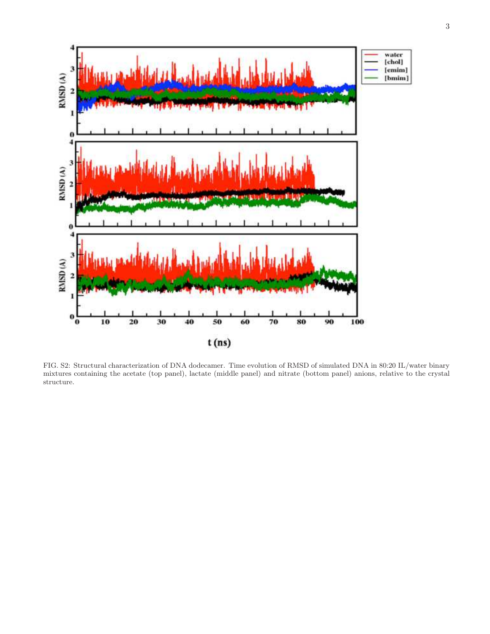

<span id="page-18-0"></span>FIG. S2: Structural characterization of DNA dodecamer. Time evolution of RMSD of simulated DNA in 80:20 IL/water binary mixtures containing the acetate (top panel), lactate (middle panel) and nitrate (bottom panel) anions, relative to the crystal structure.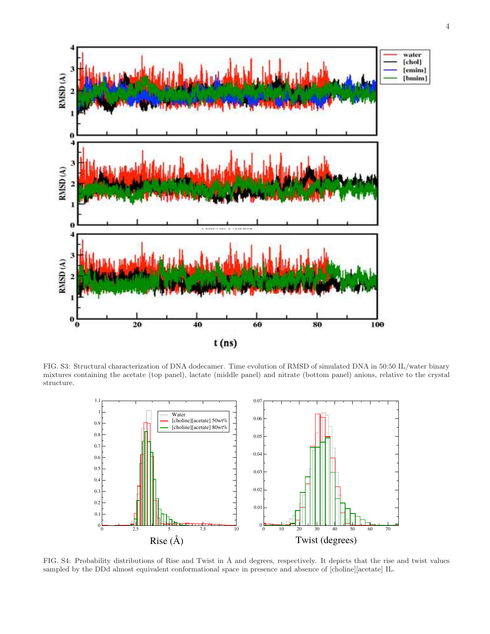

FIG. S3: Structural characterization of DNA dodecamer. Time evolution of RMSD of simulated DNA in 50:50 IL/water binary mixtures containing the acetate (top panel), lactate (middle panel) and nitrate (bottom panel) anions, relative to the crystal structure.

<span id="page-19-0"></span>

FIG. S4: Probability distributions of Rise and Twist in Å and degrees, respectively. It depicts that the rise and twist values sampled by the DDd almost equivalent conformational space in presence and absence of [choline][acetate] IL.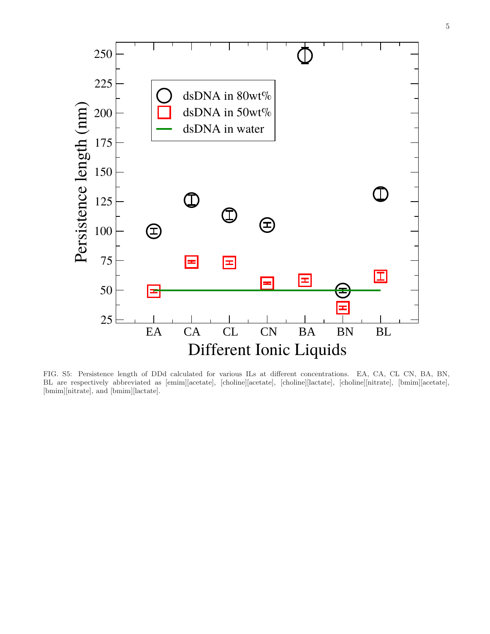

FIG. S5: Persistence length of DDd calculated for various ILs at different concentrations. EA, CA, CL CN, BA, BN, BL are respectively abbreviated as [emim][acetate], [choline][acetate], [choline][lactate], [choline][nitrate], [bmim][acetate], [bmim][nitrate], and [bmim][lactate].